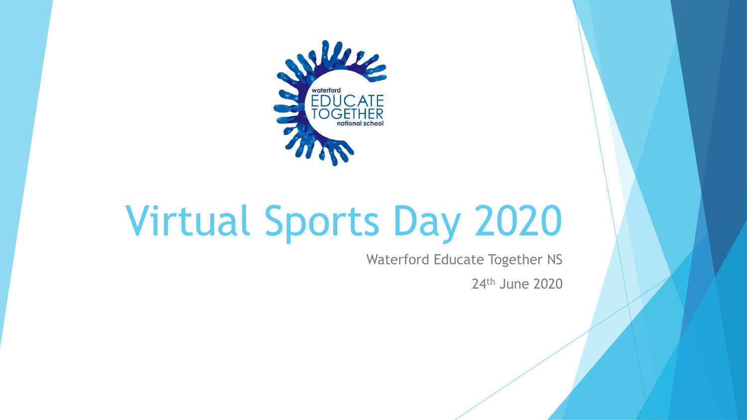

# Virtual Sports Day 2020

Waterford Educate Together NS

24th June 2020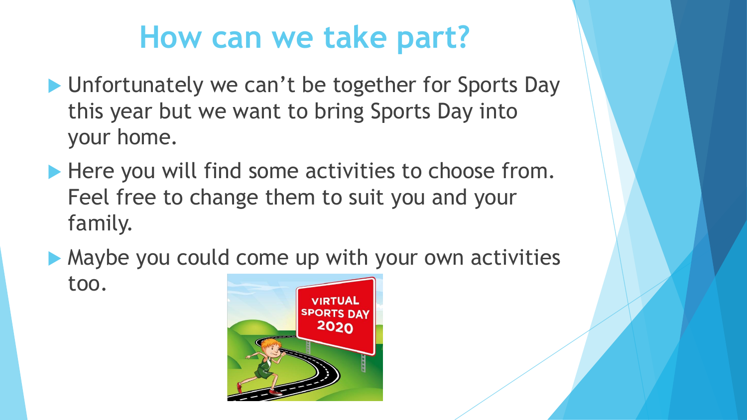## **How can we take part?**

- **I** Unfortunately we can't be together for Sports Day this year but we want to bring Sports Day into your home.
- Here you will find some activities to choose from. Feel free to change them to suit you and your family.
- Maybe you could come up with your own activities too.

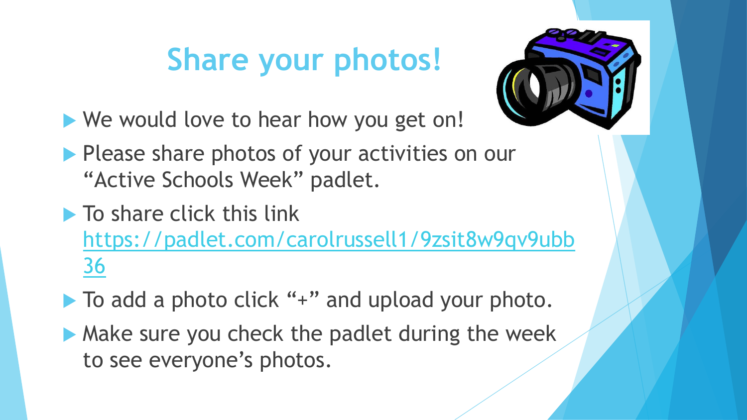## **Share your photos!**



- We would love to hear how you get on!
- Please share photos of your activities on our "Active Schools Week" padlet.
- $\blacktriangleright$  To share click this link [https://padlet.com/carolrussell1/9zsit8w9qv9ubb](https://padlet.com/carolrussell1/9zsit8w9qv9ubb36) 36
- ▶ To add a photo click "+" and upload your photo.
- Make sure you check the padlet during the week to see everyone's photos.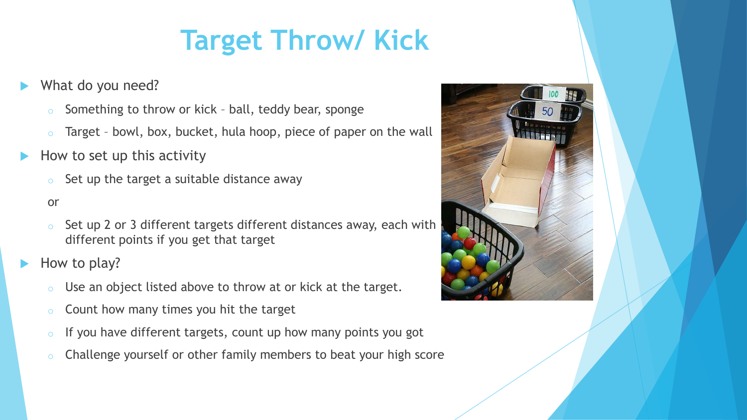## **Target Throw/ Kick**

#### What do you need?

- Something to throw or kick ball, teddy bear, sponge
- Target bowl, box, bucket, hula hoop, piece of paper on the wall
- How to set up this activity
	- Set up the target a suitable distance away

#### or

- Set up 2 or 3 different targets different distances away, each with different points if you get that target
- How to play?
	- Use an object listed above to throw at or kick at the target.
	- Count how many times you hit the target
	- If you have different targets, count up how many points you got
	- Challenge yourself or other family members to beat your high score

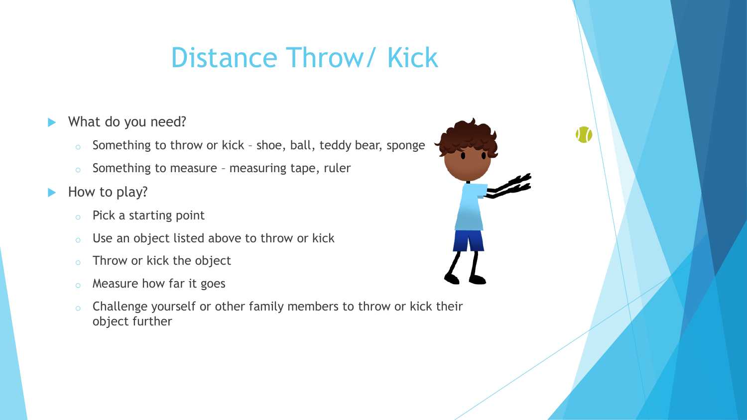## Distance Throw/ Kick

- What do you need?
	- $\circ$  Something to throw or kick shoe, ball, teddy bear, sponge
	- o Something to measure measuring tape, ruler
- $\blacktriangleright$  How to play?
	- o Pick a starting point
	- o Use an object listed above to throw or kick
	- o Throw or kick the object
	- o Measure how far it goes
	- $\circ$  Challenge yourself or other family members to throw or kick their object further

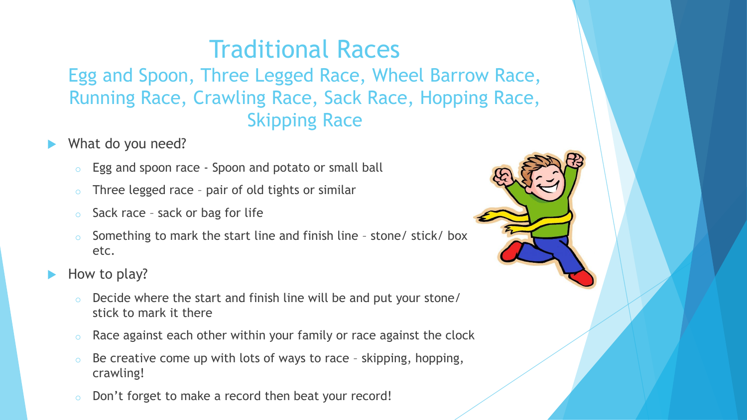#### Traditional Races

Egg and Spoon, Three Legged Race, Wheel Barrow Race, Running Race, Crawling Race, Sack Race, Hopping Race, Skipping Race

- What do you need?
	- o Egg and spoon race Spoon and potato or small ball
	- $\circ$  Three legged race pair of old tights or similar
	- $\circ$  Sack race sack or bag for life
	- Something to mark the start line and finish line stone/ stick/ box etc.
- How to play?
	- o Decide where the start and finish line will be and put your stone/ stick to mark it there
	- $\circ$  Race against each other within your family or race against the clock
	- $\circ$  Be creative come up with lots of ways to race skipping, hopping, crawling!
	- o Don't forget to make a record then beat your record!

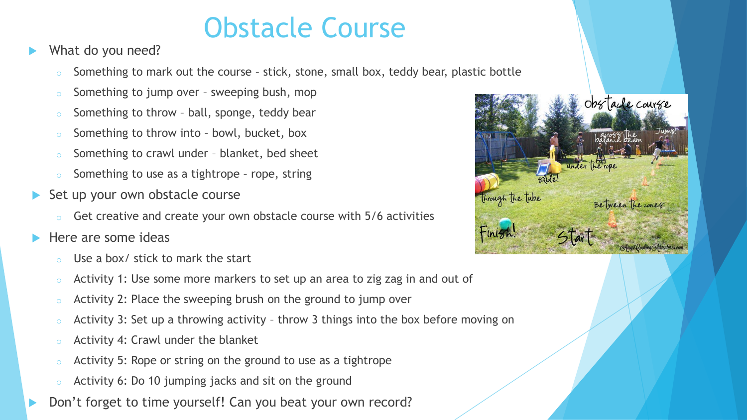#### Obstacle Course

- What do you need?
	- Something to mark out the course stick, stone, small box, teddy bear, plastic bottle
	- o Something to jump over sweeping bush, mop
	- Something to throw ball, sponge, teddy bear
	- o Something to throw into bowl, bucket, box
	- Something to crawl under blanket, bed sheet
	- Something to use as a tightrope rope, string
- Set up your own obstacle course
	- Get creative and create your own obstacle course with 5/6 activities
- $\blacktriangleright$  Here are some ideas
	- Use a box/ stick to mark the start
	- o Activity 1: Use some more markers to set up an area to zig zag in and out of
	- $\circ$  Activity 2: Place the sweeping brush on the ground to jump over
	- Activity 3: Set up a throwing activity throw 3 things into the box before moving on
	- Activity 4: Crawl under the blanket
	- Activity 5: Rope or string on the ground to use as a tightrope
	- Activity 6: Do 10 jumping jacks and sit on the ground
- Don't forget to time yourself! Can you beat your own record?

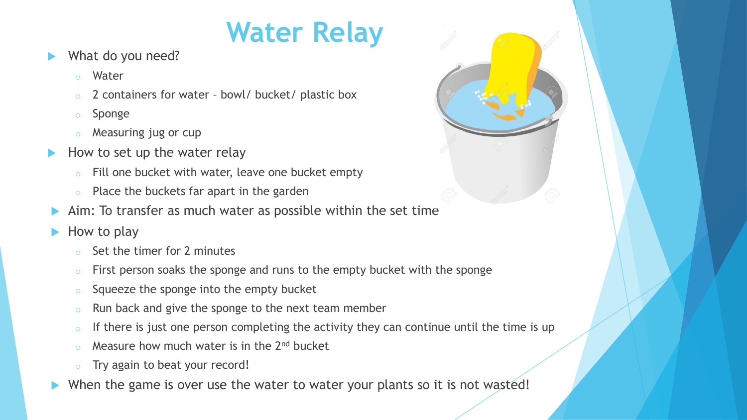## **Water Relay**

- What do you need?
	- Water
	- 2 containers for water bowl/ bucket/ plastic box
	- o Sponge
	- Measuring jug or cup
- How to set up the water relay
	- Fill one bucket with water, leave one bucket empty
	- o Place the buckets far apart in the garden
- Aim: To transfer as much water as possible within the set time
- How to play
	- Set the timer for 2 minutes
	- $\circ$  First person soaks the sponge and runs to the empty bucket with the sponge
	- o Squeeze the sponge into the empty bucket
	- o Run back and give the sponge to the next team member
	- $\circ$  If there is just one person completing the activity they can continue until the time is up
	- Measure how much water is in the  $2<sup>nd</sup>$  bucket
	- Try again to beat your record!
- When the game is over use the water to water your plants so it is not wasted!

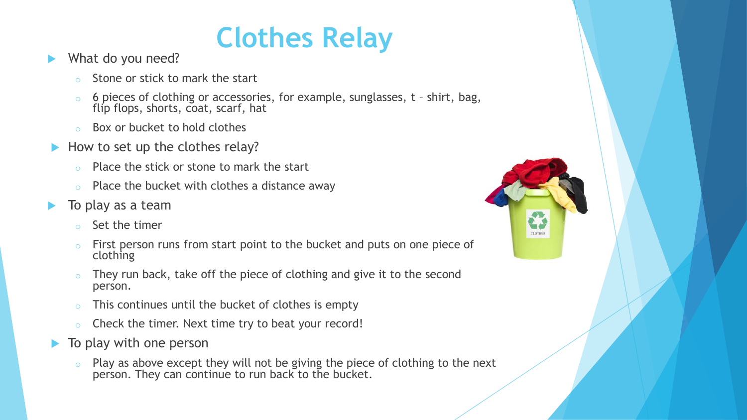### **Clothes Relay**

- What do you need?
	- Stone or stick to mark the start
	- o 6 pieces of clothing or accessories, for example, sunglasses, t shirt, bag, flip flops, shorts, coat, scarf, hat
	- o Box or bucket to hold clothes
- How to set up the clothes relay?
	- o Place the stick or stone to mark the start
	- Place the bucket with clothes a distance away
- To play as a team
	- o Set the timer
	- o First person runs from start point to the bucket and puts on one piece of clothing
	- $\circ$  They run back, take off the piece of clothing and give it to the second person.
	- This continues until the bucket of clothes is empty
	- o Check the timer. Next time try to beat your record!
- To play with one person
	- Play as above except they will not be giving the piece of clothing to the next person. They can continue to run back to the bucket.

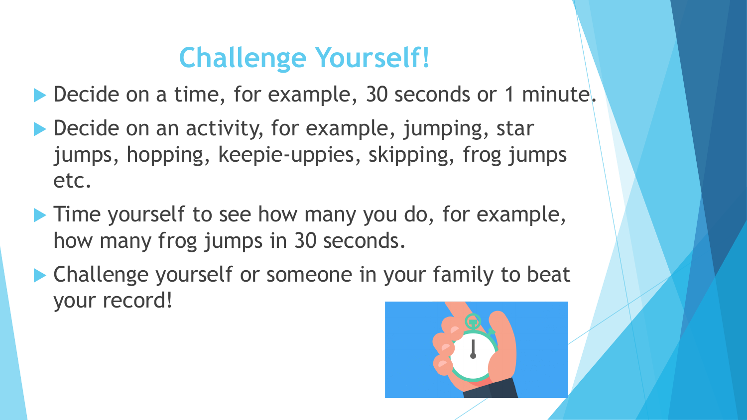## **Challenge Yourself!**

▶ Decide on a time, for example, 30 seconds or 1 minute.

- ▶ Decide on an activity, for example, jumping, star jumps, hopping, keepie-uppies, skipping, frog jumps etc.
- **Time yourself to see how many you do, for example,** how many frog jumps in 30 seconds.
- ▶ Challenge yourself or someone in your family to beat your record!

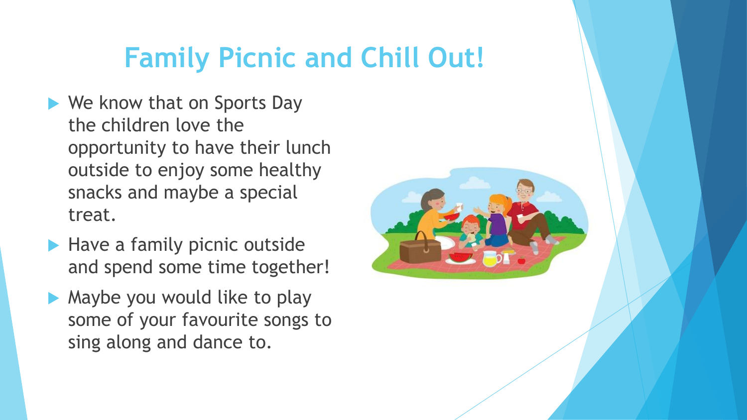## **Family Picnic and Chill Out!**

- ▶ We know that on Sports Day the children love the opportunity to have their lunch outside to enjoy some healthy snacks and maybe a special treat.
- $\blacktriangleright$  Have a family picnic outside and spend some time together!
- $\blacktriangleright$  Maybe you would like to play some of your favourite songs to sing along and dance to.